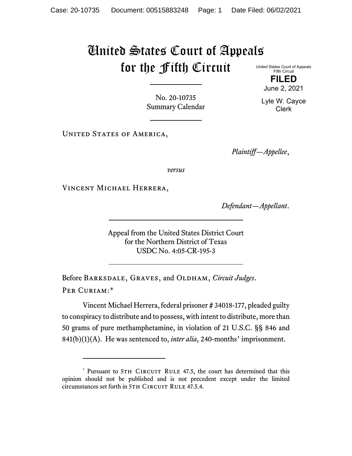## United States Court of Appeals for the Fifth Circuit

United States Court of Appeals Fifth Circuit **FILED**

No. 20-10735 Summary Calendar

UNITED STATES OF AMERICA,

*Plaintiff—Appellee*,

*versus*

Vincent Michael Herrera,

*Defendant—Appellant*.

Appeal from the United States District Court for the Northern District of Texas USDC No. 4:05-CR-195-3

Before Barksdale, Graves, and Oldham, *Circuit Judges*. Per Curiam:[\\*](#page-0-0)

Vincent Michael Herrera, federal prisoner # 34018-177, pleaded guilty to conspiracy to distribute and to possess, with intent to distribute, more than 50 grams of pure methamphetamine, in violation of 21 U.S.C. §§ 846 and 841(b)(1)(A). He was sentenced to, *inter alia*, 240-months' imprisonment.

Lyle W. Cayce Clerk

June 2, 2021

<span id="page-0-0"></span><sup>\*</sup> Pursuant to 5TH CIRCUIT RULE 47.5, the court has determined that this opinion should not be published and is not precedent except under the limited circumstances set forth in 5TH CIRCUIT RULE 47.5.4.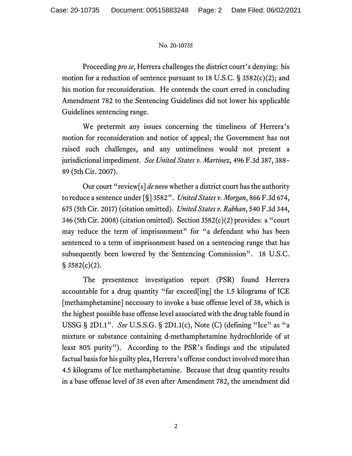## No. 20-10735

Proceeding *pro se*, Herrera challenges the district court's denying: his motion for a reduction of sentence pursuant to 18 U.S.C. § 3582(c)(2); and his motion for reconsideration. He contends the court erred in concluding Amendment 782 to the Sentencing Guidelines did not lower his applicable Guidelines sentencing range.

We pretermit any issues concerning the timeliness of Herrera's motion for reconsideration and notice of appeal; the Government has not raised such challenges, and any untimeliness would not present a jurisdictional impediment. *See United States v. Martinez*, 496 F.3d 387, 388– 89 (5th Cir. 2007).

Our court "review[s] *de novo* whether a district court has the authority to reduce a sentence under [§] 3582". *United States v. Morgan*, 866 F.3d 674, 675 (5th Cir. 2017) (citation omitted). *United States v. Rabhan*, 540 F.3d 344, 346 (5th Cir. 2008) (citation omitted). Section 3582(c)(2) provides: a "court may reduce the term of imprisonment" for "a defendant who has been sentenced to a term of imprisonment based on a sentencing range that has subsequently been lowered by the Sentencing Commission". 18 U.S.C. § 3582(c)(2).

The presentence investigation report (PSR) found Herrera accountable for a drug quantity "far exceed[ing] the 1.5 kilograms of ICE [methamphetamine] necessary to invoke a base offense level of 38, which is the highest possible base offense level associated with the drug table found in USSG § 2D1.1". *See* U.S.S.G. § 2D1.1(c), Note (C) (defining "Ice" as "a mixture or substance containing d-methamphetamine hydrochloride of at least 80% purity"). According to the PSR's findings and the stipulated factual basis for his guilty plea, Herrera's offense conduct involved more than 4.5 kilograms of Ice methamphetamine. Because that drug quantity results in a base offense level of 38 even after Amendment 782, the amendment did